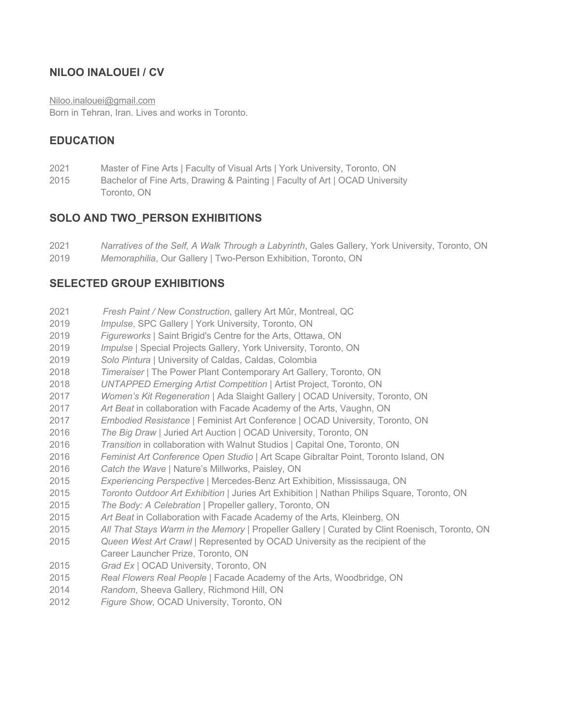## **NILOO INALOUEI / CV**

Niloo.inalouei@gmail.com

Born in Tehran, Iran. Lives and works in Toronto.

## **EDUCATION**

- Master of Fine Arts | Faculty of Visual Arts | York University, Toronto, ON
- 2015 Bachelor of Fine Arts, Drawing & Painting | Faculty of Art | OCAD University Toronto, ON

## **SOLO AND TWO\_PERSON EXHIBITIONS**

- *Narratives of the Self, A Walk Through a Labyrinth*, Gales Gallery, York University, Toronto, ON
- *Memoraphilia*, Our Gallery | Two-Person Exhibition, Toronto, ON

#### **SELECTED GROUP EXHIBITIONS**

- *Fresh Paint / New Construction*, gallery Art Mûr, Montreal, QC
- *Impulse*, SPC Gallery | York University, Toronto, ON
- *Figureworks* | Saint Brigid's Centre for the Arts, Ottawa, ON
- *Impulse* | Special Projects Gallery, York University, Toronto, ON
- *Solo Pintura* | University of Caldas, Caldas, Colombia
- *Timeraiser* | The Power Plant Contemporary Art Gallery, Toronto, ON
- *UNTAPPED Emerging Artist Competition* | Artist Project, Toronto, ON
- *Women's Kit Regeneration* | Ada Slaight Gallery | OCAD University, Toronto, ON
- *Art Beat* in collaboration with Facade Academy of the Arts, Vaughn, ON
- *Embodied Resistance* | Feminist Art Conference | OCAD University, Toronto, ON
- *The Big Draw* | Juried Art Auction | OCAD University, Toronto, ON
- *Transition* in collaboration with Walnut Studios | Capital One, Toronto, ON
- *Feminist Art Conference Open Studio* | Art Scape Gibraltar Point, Toronto Island, ON
- *Catch the Wave* | Nature's Millworks, Paisley, ON
- *Experiencing Perspective* | Mercedes-Benz Art Exhibition, Mississauga, ON
- *Toronto Outdoor Art Exhibition* | Juries Art Exhibition | Nathan Philips Square, Toronto, ON
- *The Body: A Celebration* | Propeller gallery, Toronto, ON
- *Art Beat* in Collaboration with Facade Academy of the Arts*,* Kleinberg, ON
- *All That Stays Warm in the Memory* | Propeller Gallery | Curated by Clint Roenisch, Toronto, ON
- *Queen West Art Crawl* | Represented by OCAD University as the recipient of the Career Launcher Prize, Toronto, ON
- *Grad Ex* | OCAD University, Toronto, ON
- *Real Flowers Real People* | Facade Academy of the Arts, Woodbridge, ON
- *Random*, Sheeva Gallery, Richmond Hill, ON
- *Figure Show*, OCAD University, Toronto, ON